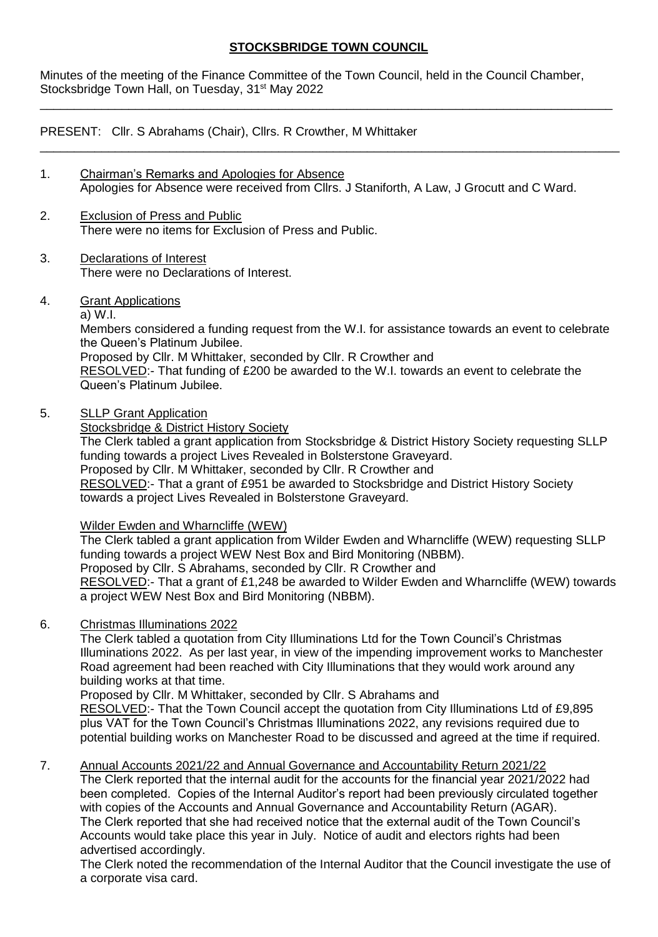## **STOCKSBRIDGE TOWN COUNCIL**

\_\_\_\_\_\_\_\_\_\_\_\_\_\_\_\_\_\_\_\_\_\_\_\_\_\_\_\_\_\_\_\_\_\_\_\_\_\_\_\_\_\_\_\_\_\_\_\_\_\_\_\_\_\_\_\_\_\_\_\_\_\_\_\_\_\_\_\_\_\_\_\_\_\_\_\_\_\_\_\_\_\_\_\_

\_\_\_\_\_\_\_\_\_\_\_\_\_\_\_\_\_\_\_\_\_\_\_\_\_\_\_\_\_\_\_\_\_\_\_\_\_\_\_\_\_\_\_\_\_\_\_\_\_\_\_\_\_\_\_\_\_\_\_\_\_\_\_\_\_\_\_\_\_\_\_\_\_\_\_\_\_\_\_\_\_\_\_\_\_

Minutes of the meeting of the Finance Committee of the Town Council, held in the Council Chamber, Stocksbridge Town Hall, on Tuesday, 31<sup>st</sup> May 2022

PRESENT: Cllr. S Abrahams (Chair), Cllrs. R Crowther, M Whittaker

- 1. Chairman's Remarks and Apologies for Absence Apologies for Absence were received from Cllrs. J Staniforth, A Law, J Grocutt and C Ward.
- 2. Exclusion of Press and Public There were no items for Exclusion of Press and Public.
- 3. Declarations of Interest There were no Declarations of Interest.
- 4. Grant Applications
	- a) W.I.

Members considered a funding request from the W.I. for assistance towards an event to celebrate the Queen's Platinum Jubilee. Proposed by Cllr. M Whittaker, seconded by Cllr. R Crowther and

RESOLVED:- That funding of £200 be awarded to the W.I. towards an event to celebrate the Queen's Platinum Jubilee.

5. SLLP Grant Application

Stocksbridge & District History Society

The Clerk tabled a grant application from Stocksbridge & District History Society requesting SLLP funding towards a project Lives Revealed in Bolsterstone Graveyard. Proposed by Cllr. M Whittaker, seconded by Cllr. R Crowther and RESOLVED:- That a grant of £951 be awarded to Stocksbridge and District History Society towards a project Lives Revealed in Bolsterstone Graveyard.

## Wilder Ewden and Wharncliffe (WEW)

The Clerk tabled a grant application from Wilder Ewden and Wharncliffe (WEW) requesting SLLP funding towards a project WEW Nest Box and Bird Monitoring (NBBM). Proposed by Cllr. S Abrahams, seconded by Cllr. R Crowther and RESOLVED:- That a grant of £1,248 be awarded to Wilder Ewden and Wharncliffe (WEW) towards a project WEW Nest Box and Bird Monitoring (NBBM).

## 6. Christmas Illuminations 2022

The Clerk tabled a quotation from City Illuminations Ltd for the Town Council's Christmas Illuminations 2022. As per last year, in view of the impending improvement works to Manchester Road agreement had been reached with City Illuminations that they would work around any building works at that time.

Proposed by Cllr. M Whittaker, seconded by Cllr. S Abrahams and

RESOLVED:- That the Town Council accept the quotation from City Illuminations Ltd of £9,895 plus VAT for the Town Council's Christmas Illuminations 2022, any revisions required due to potential building works on Manchester Road to be discussed and agreed at the time if required.

7. Annual Accounts 2021/22 and Annual Governance and Accountability Return 2021/22 The Clerk reported that the internal audit for the accounts for the financial year 2021/2022 had been completed. Copies of the Internal Auditor's report had been previously circulated together with copies of the Accounts and Annual Governance and Accountability Return (AGAR). The Clerk reported that she had received notice that the external audit of the Town Council's Accounts would take place this year in July. Notice of audit and electors rights had been advertised accordingly.

The Clerk noted the recommendation of the Internal Auditor that the Council investigate the use of a corporate visa card.